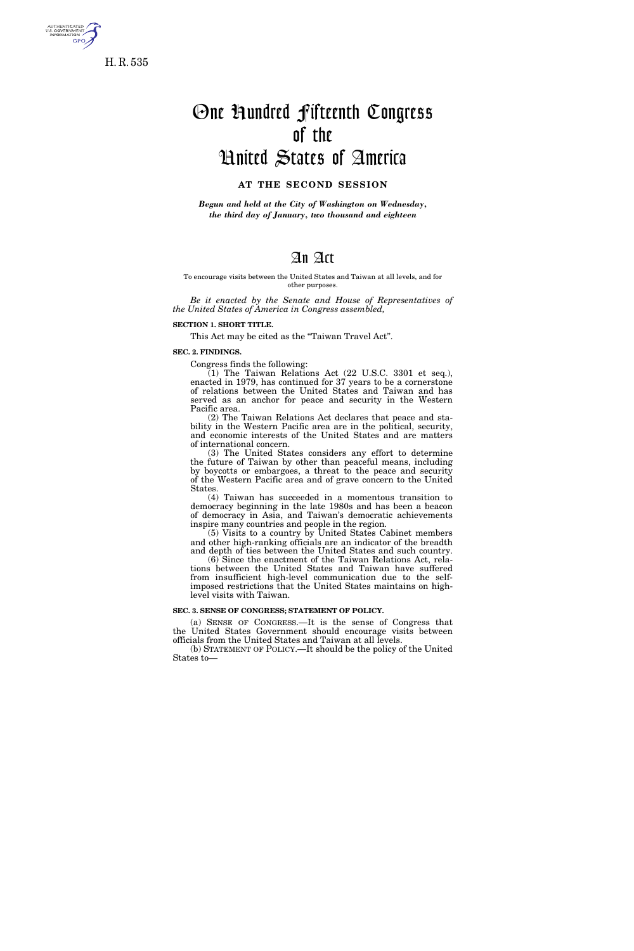

**GPO** 

# One Hundred Fifteenth Congress of the United States of America

# **AT THE SECOND SESSION**

*Begun and held at the City of Washington on Wednesday, the third day of January, two thousand and eighteen* 

# An Act

#### To encourage visits between the United States and Taiwan at all levels, and for other purposes.

*Be it enacted by the Senate and House of Representatives of the United States of America in Congress assembled,* 

### **SECTION 1. SHORT TITLE.**

This Act may be cited as the "Taiwan Travel Act".

**SEC. 2. FINDINGS.** 

Congress finds the following:

(1) The Taiwan Relations Act (22 U.S.C. 3301 et seq.), enacted in 1979, has continued for 37 years to be a cornerstone of relations between the United States and Taiwan and has served as an anchor for peace and security in the Western Pacific area.

(2) The Taiwan Relations Act declares that peace and stability in the Western Pacific area are in the political, security, and economic interests of the United States and are matters of international concern.

(3) The United States considers any effort to determine the future of Taiwan by other than peaceful means, including by boycotts or embargoes, a threat to the peace and security of the Western Pacific area and of grave concern to the United **States** 

(4) Taiwan has succeeded in a momentous transition to democracy beginning in the late 1980s and has been a beacon of democracy in Asia, and Taiwan's democratic achievements inspire many countries and people in the region.

(5) Visits to a country by United States Cabinet members and other high-ranking officials are an indicator of the breadth and depth of ties between the United States and such country.

(6) Since the enactment of the Taiwan Relations Act, relations between the United States and Taiwan have suffered from insufficient high-level communication due to the selfimposed restrictions that the United States maintains on highlevel visits with Taiwan.

#### **SEC. 3. SENSE OF CONGRESS; STATEMENT OF POLICY.**

(a) SENSE OF CONGRESS.—It is the sense of Congress that the United States Government should encourage visits between officials from the United States and Taiwan at all levels.

(b) STATEMENT OF POLICY.—It should be the policy of the United States to—